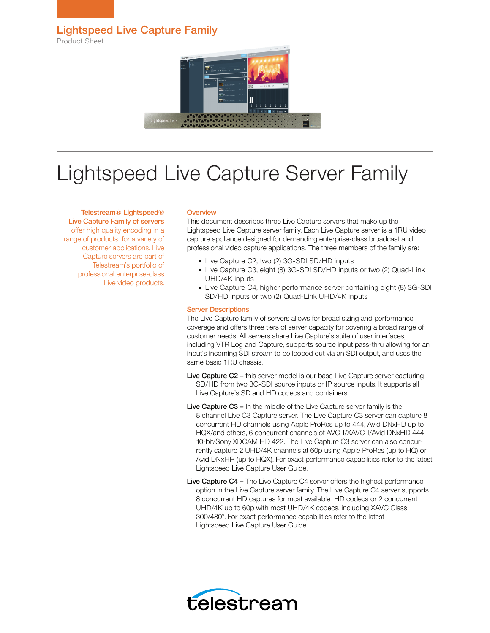Lightspeed Live Capture Family

Product Sheet



# Lightspeed Live Capture Server Family

## Telestream® Lightspeed®

Live Capture Family of servers offer high quality encoding in a range of products for a variety of customer applications. Live Capture servers are part of Telestream's portfolio of professional enterprise-class Live video products.

### **Overview**

This document describes three Live Capture servers that make up the Lightspeed Live Capture server family. Each Live Capture server is a 1RU video capture appliance designed for demanding enterprise-class broadcast and professional video capture applications. The three members of the family are:

- Live Capture C2, two (2) 3G-SDI SD/HD inputs
- Live Capture C3, eight (8) 3G-SDI SD/HD inputs or two (2) Quad-Link UHD/4K inputs
- Live Capture C4, higher performance server containing eight (8) 3G-SDI SD/HD inputs or two (2) Quad-Link UHD/4K inputs

### Server Descriptions

The Live Capture family of servers allows for broad sizing and performance coverage and offers three tiers of server capacity for covering a broad range of customer needs. All servers share Live Capture's suite of user interfaces, including VTR Log and Capture, supports source input pass-thru allowing for an input's incoming SDI stream to be looped out via an SDI output, and uses the same basic 1RU chassis.

- Live Capture C2 this server model is our base Live Capture server capturing SD/HD from two 3G-SDI source inputs or IP source inputs. It supports all Live Capture's SD and HD codecs and containers.
- Live Capture C3 In the middle of the Live Capture server family is the 8 channel Live C3 Capture server. The Live Capture C3 server can capture 8 concurrent HD channels using Apple ProRes up to 444, Avid DNxHD up to HQX/and others, 6 concurrent channels of AVC-I/XAVC-I/Avid DNxHD 444 10-bit/Sony XDCAM HD 422. The Live Capture C3 server can also concurrently capture 2 UHD/4K channels at 60p using Apple ProRes (up to HQ) or Avid DNxHR (up to HQX). For exact performance capabilities refer to the latest Lightspeed Live Capture User Guide.
- Live Capture C4 The Live Capture C4 server offers the highest performance option in the Live Capture server family. The Live Capture C4 server supports 8 concurrent HD captures for most available HD codecs or 2 concurrent UHD/4K up to 60p with most UHD/4K codecs, including XAVC Class 300/480\*. For exact performance capabilities refer to the latest Lightspeed Live Capture User Guide.